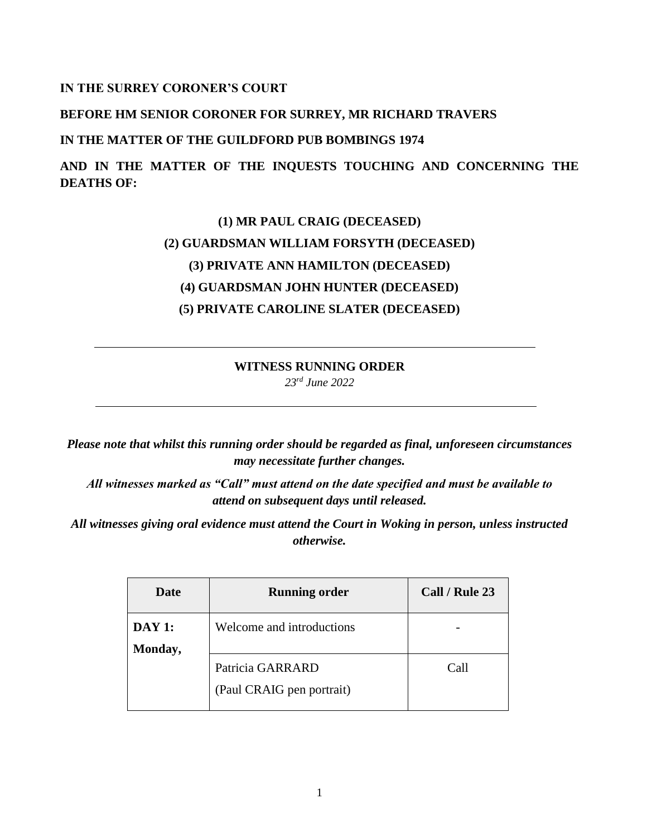## **IN THE SURREY CORONER'S COURT**

## **BEFORE HM SENIOR CORONER FOR SURREY, MR RICHARD TRAVERS**

#### **IN THE MATTER OF THE GUILDFORD PUB BOMBINGS 1974**

**AND IN THE MATTER OF THE INQUESTS TOUCHING AND CONCERNING THE DEATHS OF:** 

# **(1) MR PAUL CRAIG (DECEASED) (2) GUARDSMAN WILLIAM FORSYTH (DECEASED) (3) PRIVATE ANN HAMILTON (DECEASED) (4) GUARDSMAN JOHN HUNTER (DECEASED) (5) PRIVATE CAROLINE SLATER (DECEASED)**

# **WITNESS RUNNING ORDER** *23rd June 2022*

*Please note that whilst this running order should be regarded as final, unforeseen circumstances may necessitate further changes.* 

*All witnesses marked as "Call" must attend on the date specified and must be available to attend on subsequent days until released.*

*All witnesses giving oral evidence must attend the Court in Woking in person, unless instructed otherwise.*

| Date             | <b>Running order</b>                          | Call / Rule 23 |
|------------------|-----------------------------------------------|----------------|
| DAY1:<br>Monday, | Welcome and introductions                     |                |
|                  | Patricia GARRARD<br>(Paul CRAIG pen portrait) | Call           |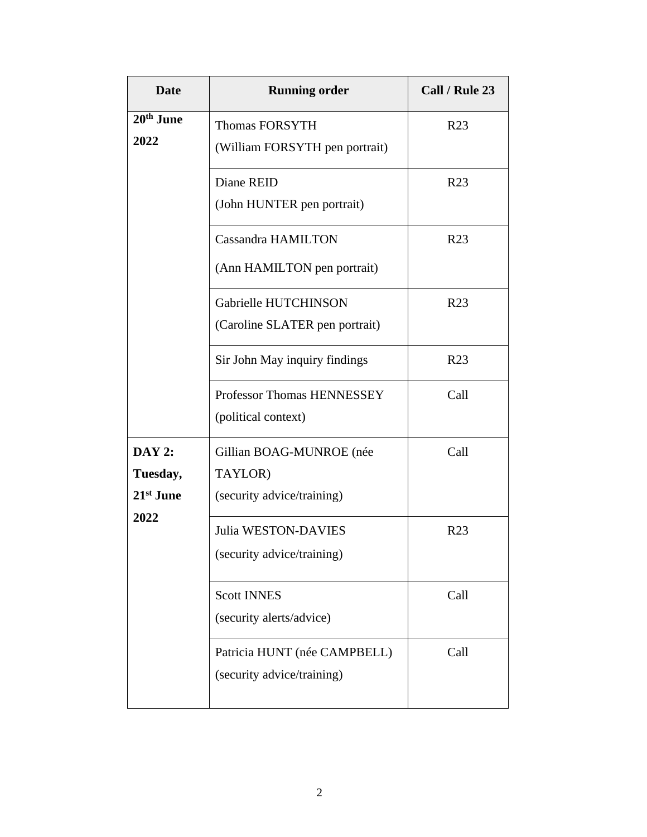| <b>Date</b>                            | <b>Running order</b>                                              | Call / Rule 23  |
|----------------------------------------|-------------------------------------------------------------------|-----------------|
| 20 <sup>th</sup> June<br>2022          | <b>Thomas FORSYTH</b><br>(William FORSYTH pen portrait)           | R <sub>23</sub> |
|                                        | Diane REID<br>(John HUNTER pen portrait)                          | R <sub>23</sub> |
|                                        | <b>Cassandra HAMILTON</b><br>(Ann HAMILTON pen portrait)          | R <sub>23</sub> |
|                                        | Gabrielle HUTCHINSON<br>(Caroline SLATER pen portrait)            | R <sub>23</sub> |
|                                        | Sir John May inquiry findings                                     | R <sub>23</sub> |
|                                        | Professor Thomas HENNESSEY<br>(political context)                 | Call            |
| <b>DAY 2:</b><br>Tuesday,<br>21st June | Gillian BOAG-MUNROE (née<br>TAYLOR)<br>(security advice/training) | Call            |
| 2022                                   | <b>Julia WESTON-DAVIES</b><br>(security advice/training)          | R <sub>23</sub> |
|                                        | <b>Scott INNES</b><br>(security alerts/advice)                    | Call            |
|                                        | Patricia HUNT (née CAMPBELL)<br>(security advice/training)        | Call            |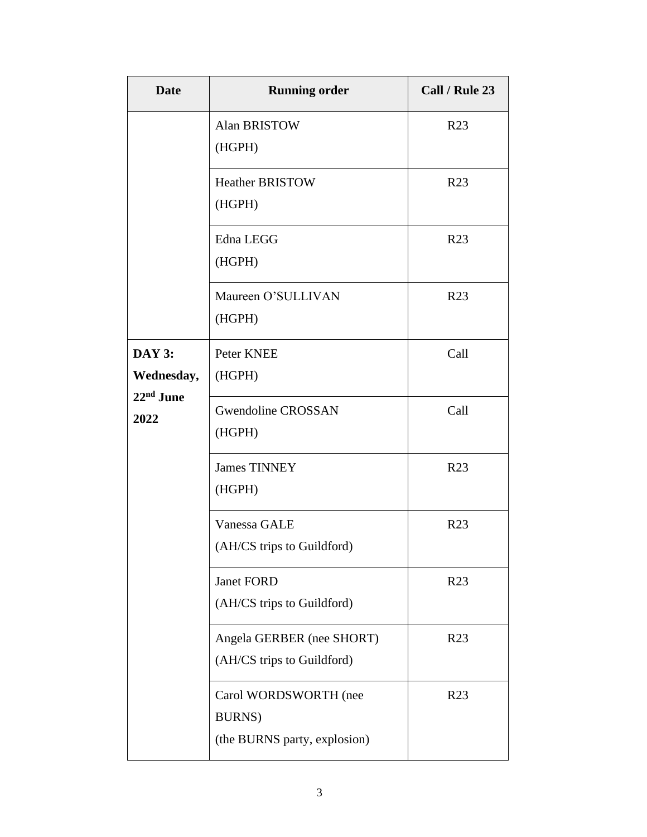| <b>Date</b>                   | <b>Running order</b>                                                    | Call / Rule 23  |
|-------------------------------|-------------------------------------------------------------------------|-----------------|
|                               | Alan BRISTOW<br>(HGPH)                                                  | R <sub>23</sub> |
|                               | <b>Heather BRISTOW</b><br>(HGPH)                                        | R <sub>23</sub> |
|                               | Edna LEGG<br>(HGPH)                                                     | R <sub>23</sub> |
|                               | Maureen O'SULLIVAN<br>(HGPH)                                            | R <sub>23</sub> |
| <b>DAY 3:</b><br>Wednesday,   | Peter KNEE<br>(HGPH)                                                    | Call            |
| 22 <sup>nd</sup> June<br>2022 | <b>Gwendoline CROSSAN</b><br>(HGPH)                                     | Call            |
|                               | <b>James TINNEY</b><br>(HGPH)                                           | R <sub>23</sub> |
|                               | Vanessa GALE<br>(AH/CS trips to Guildford)                              | R <sub>23</sub> |
|                               | Janet FORD<br>(AH/CS trips to Guildford)                                | R <sub>23</sub> |
|                               | Angela GERBER (nee SHORT)<br>(AH/CS trips to Guildford)                 | R <sub>23</sub> |
|                               | Carol WORDSWORTH (nee<br><b>BURNS</b> )<br>(the BURNS party, explosion) | R <sub>23</sub> |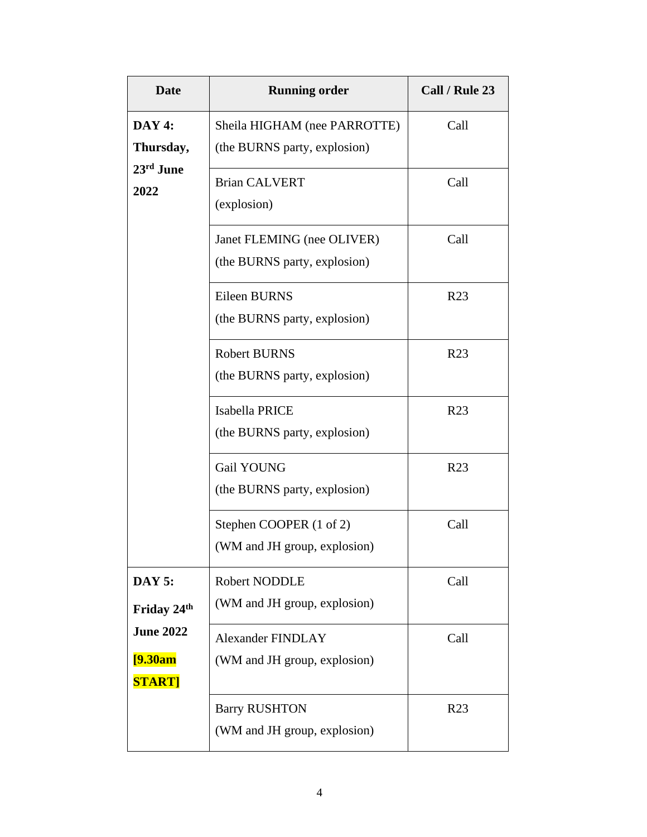| <b>Date</b>               | <b>Running order</b>                | Call / Rule 23  |
|---------------------------|-------------------------------------|-----------------|
| DAY 4:                    | Sheila HIGHAM (nee PARROTTE)        | Call            |
| Thursday,<br>23rd June    | (the BURNS party, explosion)        |                 |
| 2022                      | <b>Brian CALVERT</b><br>(explosion) | Call            |
|                           |                                     |                 |
|                           | Janet FLEMING (nee OLIVER)          | Call            |
|                           | (the BURNS party, explosion)        |                 |
|                           | Eileen BURNS                        | R <sub>23</sub> |
|                           | (the BURNS party, explosion)        |                 |
|                           | <b>Robert BURNS</b>                 | R <sub>23</sub> |
|                           | (the BURNS party, explosion)        |                 |
|                           | Isabella PRICE                      | R <sub>23</sub> |
|                           | (the BURNS party, explosion)        |                 |
|                           | Gail YOUNG                          | R <sub>23</sub> |
|                           | (the BURNS party, explosion)        |                 |
|                           | Stephen COOPER (1 of 2)             | Call            |
|                           | (WM and JH group, explosion)        |                 |
| <b>DAY 5:</b>             | Robert NODDLE                       | Call            |
| Friday 24 <sup>th</sup>   | (WM and JH group, explosion)        |                 |
| <b>June 2022</b>          | <b>Alexander FINDLAY</b>            | Call            |
| [9.30am]<br><b>START]</b> | (WM and JH group, explosion)        |                 |
|                           | <b>Barry RUSHTON</b>                | R <sub>23</sub> |
|                           | (WM and JH group, explosion)        |                 |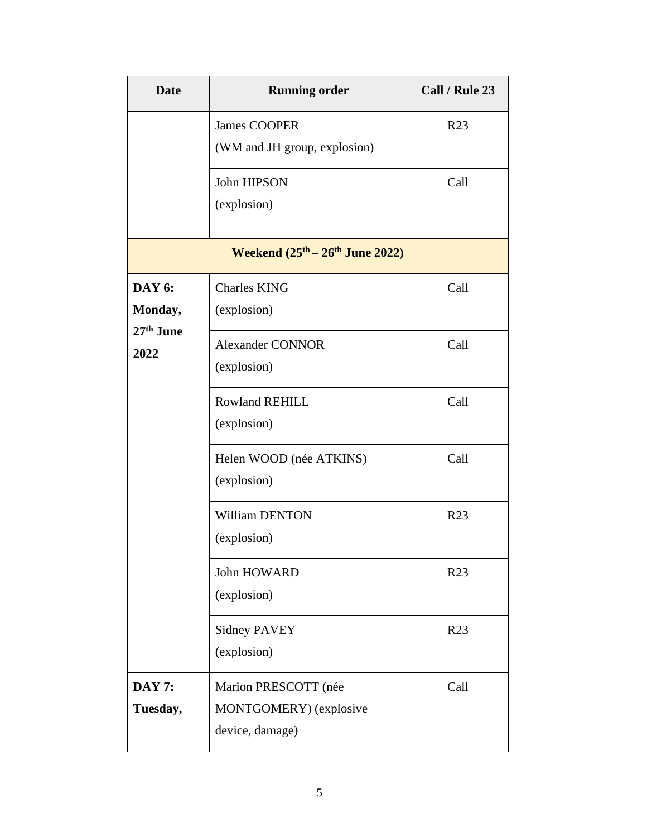| <b>Date</b>                           | <b>Running order</b>                                              | Call / Rule 23  |
|---------------------------------------|-------------------------------------------------------------------|-----------------|
|                                       | <b>James COOPER</b><br>(WM and JH group, explosion)               | R <sub>23</sub> |
|                                       | John HIPSON<br>(explosion)                                        | Call            |
|                                       | Weekend $(25^{th} – 26^{th})$ June 2022)                          |                 |
| <b>DAY 6:</b><br>Monday,<br>27th June | <b>Charles KING</b><br>(explosion)                                | Call            |
| 2022                                  | <b>Alexander CONNOR</b><br>(explosion)                            | Call            |
|                                       | <b>Rowland REHILL</b><br>(explosion)                              | Call            |
|                                       | Helen WOOD (née ATKINS)<br>(explosion)                            | Call            |
|                                       | <b>William DENTON</b><br>(explosion)                              | R <sub>23</sub> |
|                                       | John HOWARD<br>(explosion)                                        | R <sub>23</sub> |
|                                       | <b>Sidney PAVEY</b><br>(explosion)                                | R <sub>23</sub> |
| <b>DAY 7:</b><br>Tuesday,             | Marion PRESCOTT (née<br>MONTGOMERY) (explosive<br>device, damage) | Call            |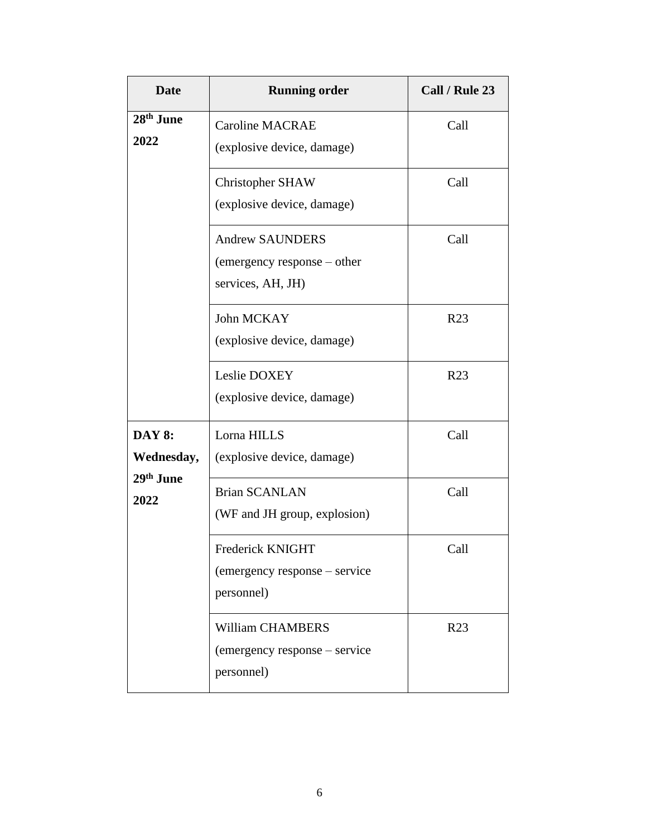| <b>Date</b>                   | <b>Running order</b>                                                       | Call / Rule 23  |
|-------------------------------|----------------------------------------------------------------------------|-----------------|
| 28 <sup>th</sup> June<br>2022 | <b>Caroline MACRAE</b><br>(explosive device, damage)                       | Call            |
|                               | <b>Christopher SHAW</b><br>(explosive device, damage)                      | Call            |
|                               | <b>Andrew SAUNDERS</b><br>(emergency response – other<br>services, AH, JH) | Call            |
|                               | John MCKAY<br>(explosive device, damage)                                   | R <sub>23</sub> |
|                               | Leslie DOXEY<br>(explosive device, damage)                                 | R <sub>23</sub> |
| <b>DAY 8:</b><br>Wednesday,   | Lorna HILLS<br>(explosive device, damage)                                  | Call            |
| 29th June<br>2022             | <b>Brian SCANLAN</b><br>(WF and JH group, explosion)                       | Call            |
|                               | Frederick KNIGHT<br>(emergency response – service<br>personnel)            | Call            |
|                               | <b>William CHAMBERS</b><br>(emergency response – service<br>personnel)     | R <sub>23</sub> |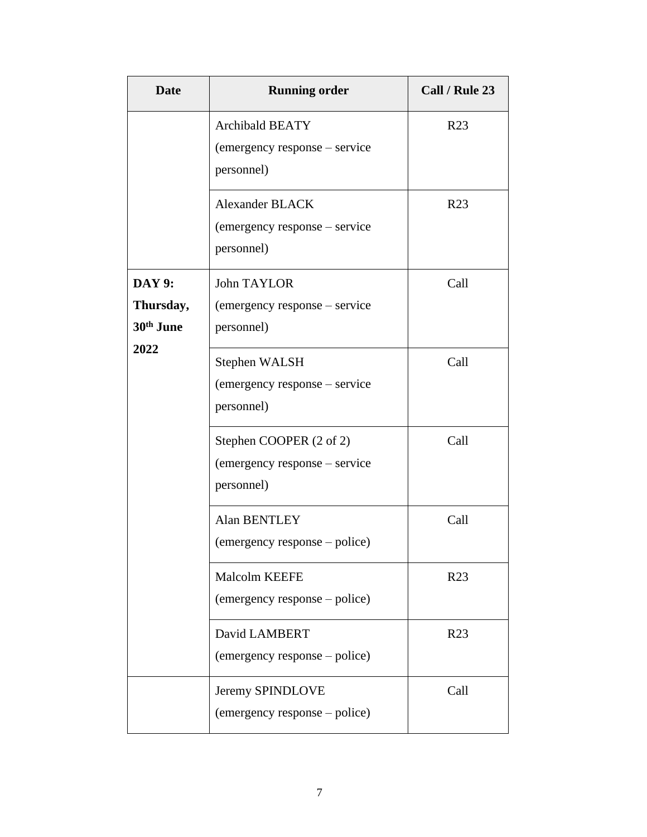| <b>Date</b>                                         | <b>Running order</b>                                                   | Call / Rule 23  |
|-----------------------------------------------------|------------------------------------------------------------------------|-----------------|
|                                                     | <b>Archibald BEATY</b><br>(emergency response – service<br>personnel)  | R <sub>23</sub> |
|                                                     | <b>Alexander BLACK</b><br>(emergency response – service<br>personnel)  | R <sub>23</sub> |
| <b>DAY 9:</b><br>Thursday,<br>30 <sup>th</sup> June | <b>John TAYLOR</b><br>(emergency response – service<br>personnel)      | Call            |
| 2022                                                | Stephen WALSH<br>(emergency response – service<br>personnel)           | Call            |
|                                                     | Stephen COOPER (2 of 2)<br>(emergency response – service<br>personnel) | Call            |
|                                                     | <b>Alan BENTLEY</b><br>(emergency response – police)                   | Call            |
|                                                     | <b>Malcolm KEEFE</b><br>(emergency response – police)                  | R <sub>23</sub> |
|                                                     | David LAMBERT<br>(emergency response – police)                         | R <sub>23</sub> |
|                                                     | Jeremy SPINDLOVE<br>(emergency response – police)                      | Call            |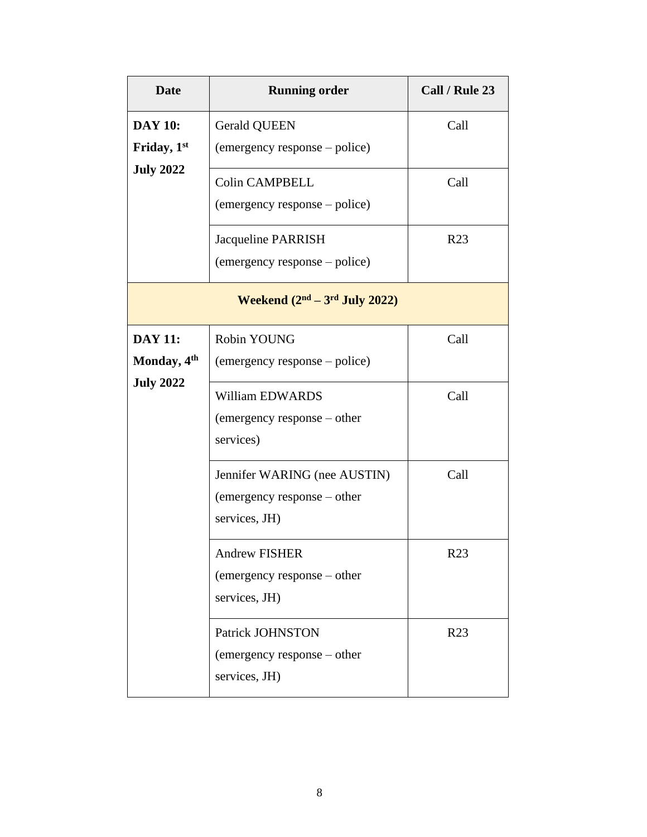| <b>Date</b>                     | <b>Running order</b>                            | Call / Rule 23  |
|---------------------------------|-------------------------------------------------|-----------------|
| <b>DAY 10:</b>                  | <b>Gerald QUEEN</b>                             | Call            |
| Friday, 1st<br><b>July 2022</b> | (emergency response – police)                   |                 |
|                                 | <b>Colin CAMPBELL</b>                           | Call            |
|                                 | (emergency response – police)                   |                 |
|                                 | Jacqueline PARRISH                              | R <sub>23</sub> |
|                                 | (emergency response – police)                   |                 |
|                                 | Weekend $(2nd – 3rd July 2022)$                 |                 |
| <b>DAY 11:</b>                  | Robin YOUNG                                     | Call            |
| Monday, 4 <sup>th</sup>         | (emergency response – police)                   |                 |
| <b>July 2022</b>                | <b>William EDWARDS</b>                          | Call            |
|                                 | (emergency response – other                     |                 |
|                                 | services)                                       |                 |
|                                 | Jennifer WARING (nee AUSTIN)                    | Call            |
|                                 | (emergency response – other<br>services, JH)    |                 |
|                                 |                                                 |                 |
|                                 | Andrew FISHER                                   | R <sub>23</sub> |
|                                 | (emergency response – other<br>services, JH)    |                 |
|                                 |                                                 |                 |
|                                 | Patrick JOHNSTON<br>(emergency response – other | R <sub>23</sub> |
|                                 | services, JH)                                   |                 |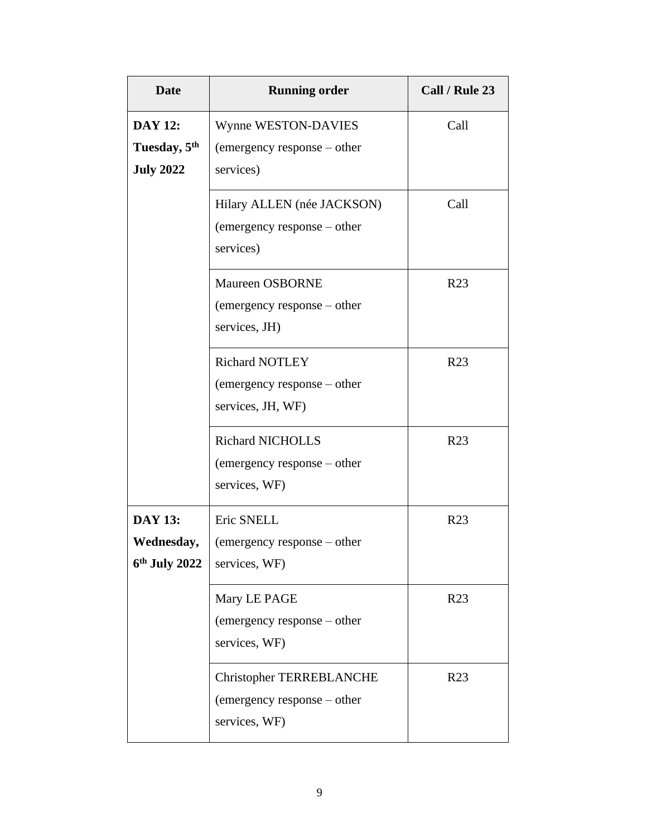| <b>Date</b>                                                    | <b>Running order</b>                                                     | Call / Rule 23  |
|----------------------------------------------------------------|--------------------------------------------------------------------------|-----------------|
| <b>DAY 12:</b><br>Tuesday, 5 <sup>th</sup><br><b>July 2022</b> | Wynne WESTON-DAVIES<br>(emergency response – other<br>services)          | Call            |
|                                                                | Hilary ALLEN (née JACKSON)<br>(emergency response – other<br>services)   | Call            |
|                                                                | <b>Maureen OSBORNE</b><br>(emergency response – other<br>services, JH)   | R <sub>23</sub> |
|                                                                | Richard NOTLEY<br>(emergency response – other<br>services, JH, WF)       | R <sub>23</sub> |
|                                                                | <b>Richard NICHOLLS</b><br>(emergency response – other<br>services, WF)  | R <sub>23</sub> |
| <b>DAY 13:</b><br>Wednesday,<br>$6th$ July 2022                | Eric SNELL<br>(emergency response – other<br>services, WF)               | R <sub>23</sub> |
|                                                                | Mary LE PAGE<br>(emergency response – other<br>services, WF)             | R <sub>23</sub> |
|                                                                | Christopher TERREBLANCHE<br>(emergency response – other<br>services, WF) | R <sub>23</sub> |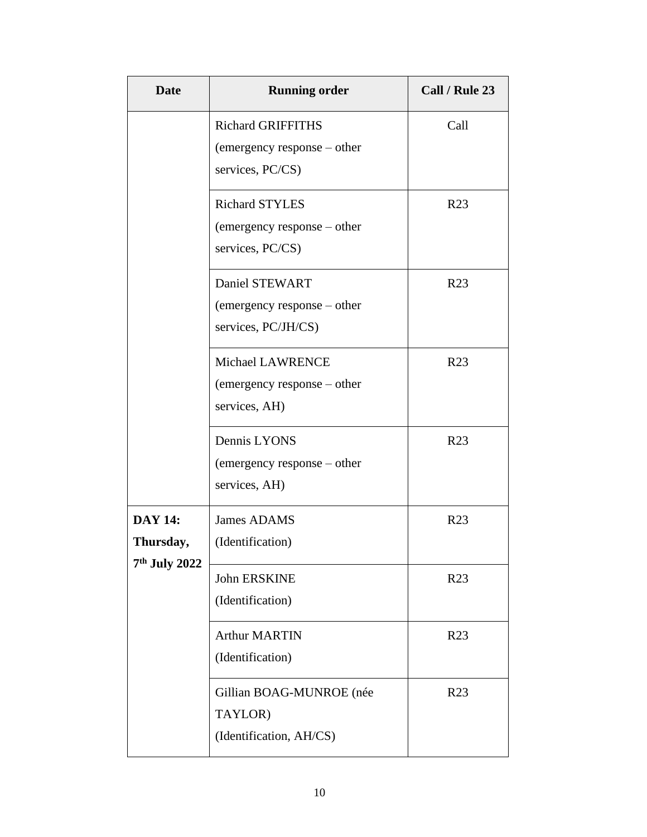| <b>Date</b>                 | <b>Running order</b>                                                        | Call / Rule 23  |
|-----------------------------|-----------------------------------------------------------------------------|-----------------|
|                             | <b>Richard GRIFFITHS</b><br>(emergency response – other<br>services, PC/CS) | Call            |
|                             | <b>Richard STYLES</b><br>(emergency response – other<br>services, PC/CS)    | R <sub>23</sub> |
|                             | Daniel STEWART<br>(emergency response – other<br>services, PC/JH/CS)        | R <sub>23</sub> |
|                             | <b>Michael LAWRENCE</b><br>(emergency response – other<br>services, AH)     | R <sub>23</sub> |
|                             | Dennis LYONS<br>(emergency response – other<br>services, AH)                | R <sub>23</sub> |
| <b>DAY 14:</b><br>Thursday, | <b>James ADAMS</b><br>(Identification)                                      | R <sub>23</sub> |
| 7 <sup>th</sup> July 2022   | <b>John ERSKINE</b><br>(Identification)                                     | R <sub>23</sub> |
|                             | <b>Arthur MARTIN</b><br>(Identification)                                    | R <sub>23</sub> |
|                             | Gillian BOAG-MUNROE (née<br>TAYLOR)<br>(Identification, AH/CS)              | R <sub>23</sub> |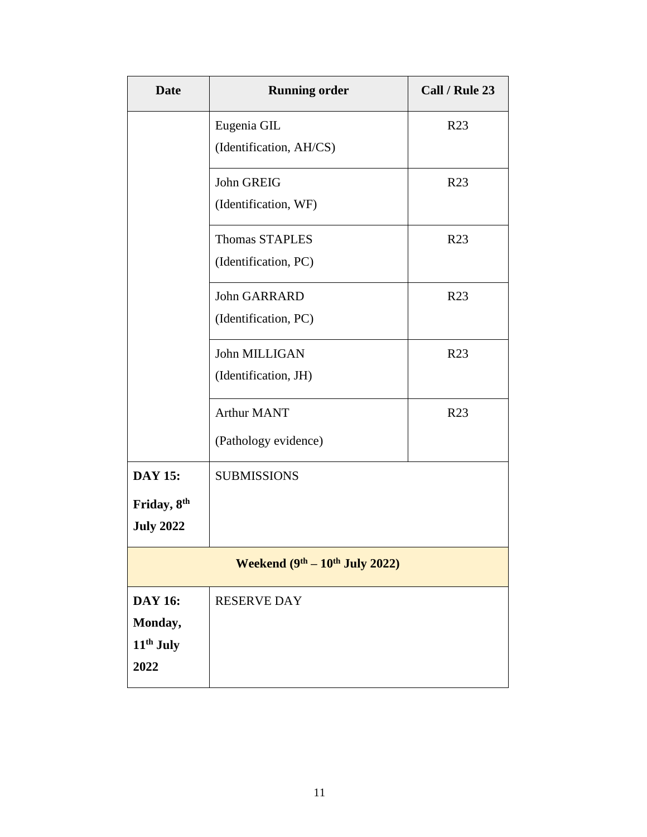| <b>Date</b>                      | <b>Running order</b>    | Call / Rule 23  |
|----------------------------------|-------------------------|-----------------|
|                                  | Eugenia GIL             | R23             |
|                                  | (Identification, AH/CS) |                 |
|                                  | John GREIG              | R <sub>23</sub> |
|                                  | (Identification, WF)    |                 |
|                                  | <b>Thomas STAPLES</b>   | R <sub>23</sub> |
|                                  | (Identification, PC)    |                 |
|                                  | John GARRARD            | R <sub>23</sub> |
|                                  | (Identification, PC)    |                 |
|                                  | John MILLIGAN           | R <sub>23</sub> |
|                                  | (Identification, JH)    |                 |
|                                  | <b>Arthur MANT</b>      | R <sub>23</sub> |
|                                  | (Pathology evidence)    |                 |
| <b>DAY 15:</b>                   | <b>SUBMISSIONS</b>      |                 |
| Friday, 8th                      |                         |                 |
| <b>July 2022</b>                 |                         |                 |
| Weekend $(9th – 10th$ July 2022) |                         |                 |
| <b>DAY 16:</b>                   | <b>RESERVE DAY</b>      |                 |
| Monday,                          |                         |                 |
| 11 <sup>th</sup> July            |                         |                 |
| 2022                             |                         |                 |